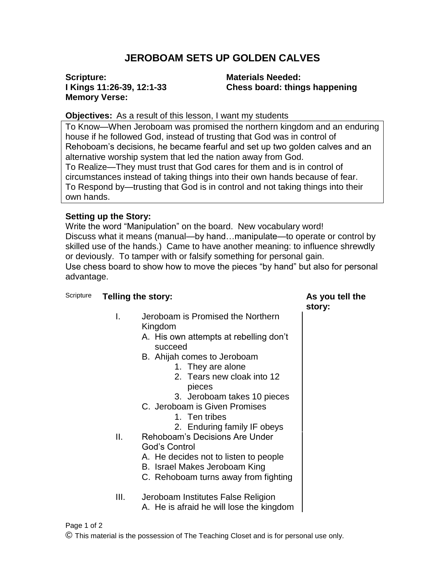## **JEROBOAM SETS UP GOLDEN CALVES**

#### **Scripture: I Kings 11:26-39, 12:1-33 Memory Verse:**

**Materials Needed: Chess board: things happening**

**story:**

### **Objectives:** As a result of this lesson, I want my students

To Know—When Jeroboam was promised the northern kingdom and an enduring house if he followed God, instead of trusting that God was in control of Rehoboam's decisions, he became fearful and set up two golden calves and an alternative worship system that led the nation away from God. To Realize—They must trust that God cares for them and is in control of circumstances instead of taking things into their own hands because of fear. To Respond by—trusting that God is in control and not taking things into their own hands.

#### **Setting up the Story:**

Write the word "Manipulation" on the board. New vocabulary word! Discuss what it means (manual—by hand…manipulate—to operate or control by skilled use of the hands.) Came to have another meaning: to influence shrewdly or deviously. To tamper with or falsify something for personal gain. Use chess board to show how to move the pieces "by hand" but also for personal advantage.

### Scripture **Telling the story: As you tell the**

- I. Jeroboam is Promised the Northern Kingdom
	- A. His own attempts at rebelling don't succeed
	- B. Ahijah comes to Jeroboam
		- 1. They are alone
		- 2. Tears new cloak into 12 pieces
		- 3. Jeroboam takes 10 pieces
	- C. Jeroboam is Given Promises
		- 1. Ten tribes
		- 2. Enduring family IF obeys
- II. Rehoboam's Decisions Are Under God's Control
	- A. He decides not to listen to people
	- B. Israel Makes Jeroboam King
	- C. Rehoboam turns away from fighting
- III. Jeroboam Institutes False Religion A. He is afraid he will lose the kingdom

# Page 1 of 2